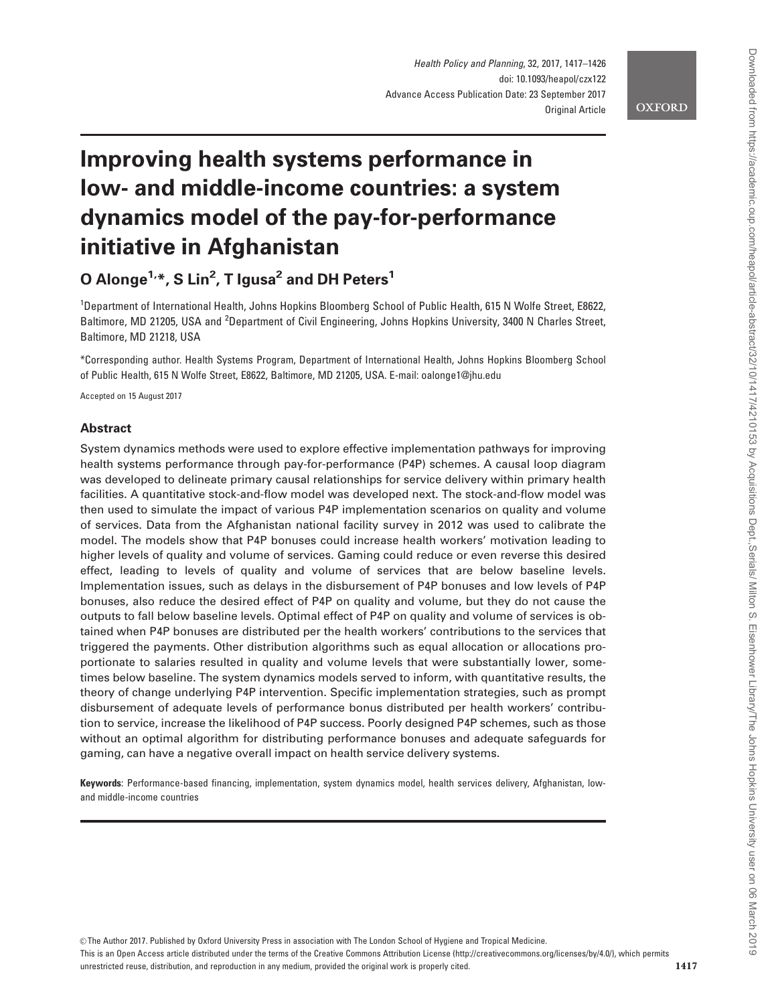# **OXFORD**

# Improving health systems performance in low- and middle-income countries: a system dynamics model of the pay-for-performance initiative in Afghanistan

# **O** Alonge<sup>1,</sup>\*, S Lin<sup>2</sup>, T Igusa<sup>2</sup> and DH Peters<sup>1</sup>

<sup>1</sup>Department of International Health, Johns Hopkins Bloomberg School of Public Health, 615 N Wolfe Street, E8622, Baltimore, MD 21205, USA and <sup>2</sup>Department of Civil Engineering, Johns Hopkins University, 3400 N Charles Street, Baltimore, MD 21218, USA

\*Corresponding author. Health Systems Program, Department of International Health, Johns Hopkins Bloomberg School of Public Health, 615 N Wolfe Street, E8622, Baltimore, MD 21205, USA. E-mail: oalonge1@jhu.edu

Accepted on 15 August 2017

# Abstract

System dynamics methods were used to explore effective implementation pathways for improving health systems performance through pay-for-performance (P4P) schemes. A causal loop diagram was developed to delineate primary causal relationships for service delivery within primary health facilities. A quantitative stock-and-flow model was developed next. The stock-and-flow model was then used to simulate the impact of various P4P implementation scenarios on quality and volume of services. Data from the Afghanistan national facility survey in 2012 was used to calibrate the model. The models show that P4P bonuses could increase health workers' motivation leading to higher levels of quality and volume of services. Gaming could reduce or even reverse this desired effect, leading to levels of quality and volume of services that are below baseline levels. Implementation issues, such as delays in the disbursement of P4P bonuses and low levels of P4P bonuses, also reduce the desired effect of P4P on quality and volume, but they do not cause the outputs to fall below baseline levels. Optimal effect of P4P on quality and volume of services is obtained when P4P bonuses are distributed per the health workers' contributions to the services that triggered the payments. Other distribution algorithms such as equal allocation or allocations proportionate to salaries resulted in quality and volume levels that were substantially lower, sometimes below baseline. The system dynamics models served to inform, with quantitative results, the theory of change underlying P4P intervention. Specific implementation strategies, such as prompt disbursement of adequate levels of performance bonus distributed per health workers' contribution to service, increase the likelihood of P4P success. Poorly designed P4P schemes, such as those without an optimal algorithm for distributing performance bonuses and adequate safeguards for gaming, can have a negative overall impact on health service delivery systems.

Keywords: Performance-based financing, implementation, system dynamics model, health services delivery, Afghanistan, lowand middle-income countries

 $\circ$  The Author 2017. Published by Oxford University Press in association with The London School of Hygiene and Tropical Medicine.

This is an Open Access article distributed under the terms of the Creative Commons Attribution License (http://creativecommons.org/licenses/by/4.0/), which permits unrestricted reuse, distribution, and reproduction in any medium, provided the original work is properly cited. 1417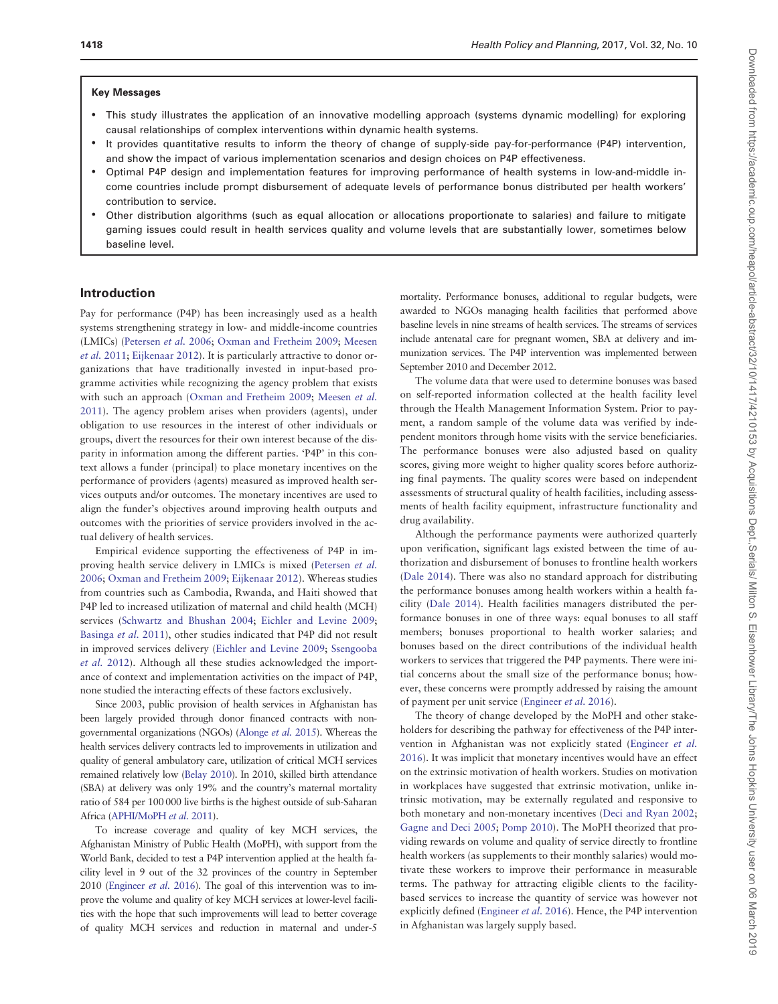#### Key Messages

- This study illustrates the application of an innovative modelling approach (systems dynamic modelling) for exploring causal relationships of complex interventions within dynamic health systems.
- It provides quantitative results to inform the theory of change of supply-side pay-for-performance (P4P) intervention, and show the impact of various implementation scenarios and design choices on P4P effectiveness.
- Optimal P4P design and implementation features for improving performance of health systems in low-and-middle income countries include prompt disbursement of adequate levels of performance bonus distributed per health workers' contribution to service.
- Other distribution algorithms (such as equal allocation or allocations proportionate to salaries) and failure to mitigate gaming issues could result in health services quality and volume levels that are substantially lower, sometimes below baseline level.

#### Introduction

Pay for performance (P4P) has been increasingly used as a health systems strengthening strategy in low- and middle-income countries (LMICs) [\(Petersen](#page-9-0) et al. 2006; [Oxman and Fretheim 2009](#page-9-0); [Meesen](#page-9-0) et al. [2011;](#page-9-0) [Eijkenaar 2012\)](#page-9-0). It is particularly attractive to donor organizations that have traditionally invested in input-based programme activities while recognizing the agency problem that exists with such an approach [\(Oxman and Fretheim 2009](#page-9-0); [Meesen](#page-9-0) et al. [2011\)](#page-9-0). The agency problem arises when providers (agents), under obligation to use resources in the interest of other individuals or groups, divert the resources for their own interest because of the disparity in information among the different parties. 'P4P' in this context allows a funder (principal) to place monetary incentives on the performance of providers (agents) measured as improved health services outputs and/or outcomes. The monetary incentives are used to align the funder's objectives around improving health outputs and outcomes with the priorities of service providers involved in the actual delivery of health services.

Empirical evidence supporting the effectiveness of P4P in improving health service delivery in LMICs is mixed ([Petersen](#page-9-0) et al. [2006;](#page-9-0) [Oxman and Fretheim 2009](#page-9-0); [Eijkenaar 2012](#page-9-0)). Whereas studies from countries such as Cambodia, Rwanda, and Haiti showed that P4P led to increased utilization of maternal and child health (MCH) services ([Schwartz and Bhushan 2004;](#page-9-0) [Eichler and Levine 2009;](#page-9-0) [Basinga](#page-8-0) et al. 2011), other studies indicated that P4P did not result in improved services delivery [\(Eichler and Levine 2009;](#page-9-0) [Ssengooba](#page-9-0) [et al.](#page-9-0) 2012). Although all these studies acknowledged the importance of context and implementation activities on the impact of P4P, none studied the interacting effects of these factors exclusively.

Since 2003, public provision of health services in Afghanistan has been largely provided through donor financed contracts with nongovernmental organizations (NGOs) [\(Alonge](#page-8-0) et al. 2015). Whereas the health services delivery contracts led to improvements in utilization and quality of general ambulatory care, utilization of critical MCH services remained relatively low [\(Belay 2010](#page-8-0)). In 2010, skilled birth attendance (SBA) at delivery was only 19% and the country's maternal mortality ratio of 584 per 100 000 live births is the highest outside of sub-Saharan Africa ([APHI/MoPH](#page-8-0) et al. 2011).

To increase coverage and quality of key MCH services, the Afghanistan Ministry of Public Health (MoPH), with support from the World Bank, decided to test a P4P intervention applied at the health facility level in 9 out of the 32 provinces of the country in September 2010 [\(Engineer](#page-9-0) et al. 2016). The goal of this intervention was to improve the volume and quality of key MCH services at lower-level facilities with the hope that such improvements will lead to better coverage of quality MCH services and reduction in maternal and under-5 mortality. Performance bonuses, additional to regular budgets, were awarded to NGOs managing health facilities that performed above baseline levels in nine streams of health services. The streams of services include antenatal care for pregnant women, SBA at delivery and immunization services. The P4P intervention was implemented between September 2010 and December 2012.

The volume data that were used to determine bonuses was based on self-reported information collected at the health facility level through the Health Management Information System. Prior to payment, a random sample of the volume data was verified by independent monitors through home visits with the service beneficiaries. The performance bonuses were also adjusted based on quality scores, giving more weight to higher quality scores before authorizing final payments. The quality scores were based on independent assessments of structural quality of health facilities, including assessments of health facility equipment, infrastructure functionality and drug availability.

Although the performance payments were authorized quarterly upon verification, significant lags existed between the time of authorization and disbursement of bonuses to frontline health workers ([Dale 2014](#page-8-0)). There was also no standard approach for distributing the performance bonuses among health workers within a health facility [\(Dale 2014\)](#page-8-0). Health facilities managers distributed the performance bonuses in one of three ways: equal bonuses to all staff members; bonuses proportional to health worker salaries; and bonuses based on the direct contributions of the individual health workers to services that triggered the P4P payments. There were initial concerns about the small size of the performance bonus; however, these concerns were promptly addressed by raising the amount of payment per unit service [\(Engineer](#page-9-0) et al. 2016).

The theory of change developed by the MoPH and other stakeholders for describing the pathway for effectiveness of the P4P intervention in Afghanistan was not explicitly stated [\(Engineer](#page-9-0) et al. [2016\)](#page-9-0). It was implicit that monetary incentives would have an effect on the extrinsic motivation of health workers. Studies on motivation in workplaces have suggested that extrinsic motivation, unlike intrinsic motivation, may be externally regulated and responsive to both monetary and non-monetary incentives ([Deci and Ryan 2002;](#page-8-0) [Gagne and Deci 2005;](#page-9-0) [Pomp 2010](#page-9-0)). The MoPH theorized that providing rewards on volume and quality of service directly to frontline health workers (as supplements to their monthly salaries) would motivate these workers to improve their performance in measurable terms. The pathway for attracting eligible clients to the facilitybased services to increase the quantity of service was however not explicitly defined ([Engineer](#page-9-0) et al. 2016). Hence, the P4P intervention in Afghanistan was largely supply based.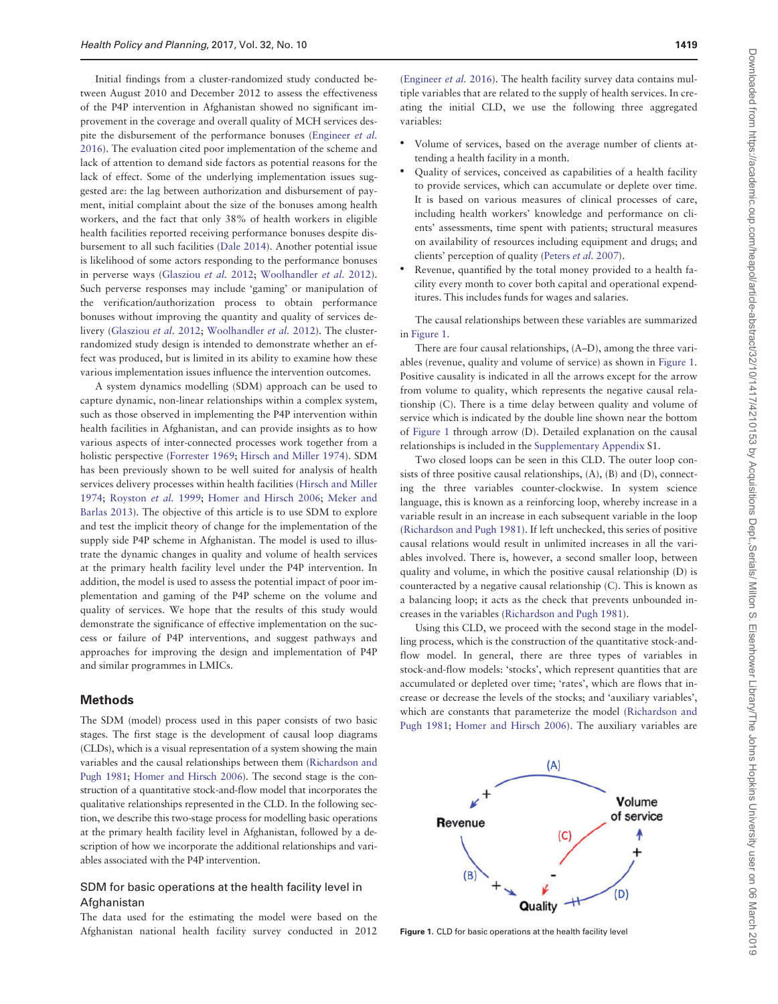<span id="page-2-0"></span>Initial findings from a cluster-randomized study conducted between August 2010 and December 2012 to assess the effectiveness of the P4P intervention in Afghanistan showed no significant improvement in the coverage and overall quality of MCH services des-pite the disbursement of the performance bonuses ([Engineer](#page-9-0) et al. [2016\)](#page-9-0). The evaluation cited poor implementation of the scheme and lack of attention to demand side factors as potential reasons for the lack of effect. Some of the underlying implementation issues suggested are: the lag between authorization and disbursement of payment, initial complaint about the size of the bonuses among health workers, and the fact that only 38% of health workers in eligible health facilities reported receiving performance bonuses despite disbursement to all such facilities [\(Dale 2014\)](#page-8-0). Another potential issue is likelihood of some actors responding to the performance bonuses in perverse ways ([Glasziou](#page-9-0) et al. 2012; [Woolhandler](#page-9-0) et al. 2012). Such perverse responses may include 'gaming' or manipulation of the verification/authorization process to obtain performance bonuses without improving the quantity and quality of services delivery ([Glasziou](#page-9-0) et al. 2012; [Woolhandler](#page-9-0) et al. 2012). The clusterrandomized study design is intended to demonstrate whether an effect was produced, but is limited in its ability to examine how these various implementation issues influence the intervention outcomes.

A system dynamics modelling (SDM) approach can be used to capture dynamic, non-linear relationships within a complex system, such as those observed in implementing the P4P intervention within health facilities in Afghanistan, and can provide insights as to how various aspects of inter-connected processes work together from a holistic perspective ([Forrester 1969;](#page-9-0) [Hirsch and Miller 1974\)](#page-9-0). SDM has been previously shown to be well suited for analysis of health services delivery processes within health facilities ([Hirsch and Miller](#page-9-0) [1974;](#page-9-0) [Royston](#page-9-0) et al. 1999; [Homer and Hirsch 2006](#page-9-0); [Meker and](#page-9-0) [Barlas 2013\)](#page-9-0). The objective of this article is to use SDM to explore and test the implicit theory of change for the implementation of the supply side P4P scheme in Afghanistan. The model is used to illustrate the dynamic changes in quality and volume of health services at the primary health facility level under the P4P intervention. In addition, the model is used to assess the potential impact of poor implementation and gaming of the P4P scheme on the volume and quality of services. We hope that the results of this study would demonstrate the significance of effective implementation on the success or failure of P4P interventions, and suggest pathways and approaches for improving the design and implementation of P4P and similar programmes in LMICs.

# Methods

The SDM (model) process used in this paper consists of two basic stages. The first stage is the development of causal loop diagrams (CLDs), which is a visual representation of a system showing the main variables and the causal relationships between them ([Richardson and](#page-9-0) [Pugh 1981](#page-9-0); [Homer and Hirsch 2006\)](#page-9-0). The second stage is the construction of a quantitative stock-and-flow model that incorporates the qualitative relationships represented in the CLD. In the following section, we describe this two-stage process for modelling basic operations at the primary health facility level in Afghanistan, followed by a description of how we incorporate the additional relationships and variables associated with the P4P intervention.

# SDM for basic operations at the health facility level in Afghanistan

The data used for the estimating the model were based on the Afghanistan national health facility survey conducted in 2012

([Engineer](#page-9-0) et al. 2016). The health facility survey data contains multiple variables that are related to the supply of health services. In creating the initial CLD, we use the following three aggregated variables:

- Volume of services, based on the average number of clients attending a health facility in a month.
- Quality of services, conceived as capabilities of a health facility to provide services, which can accumulate or deplete over time. It is based on various measures of clinical processes of care, including health workers' knowledge and performance on clients' assessments, time spent with patients; structural measures on availability of resources including equipment and drugs; and clients' perception of quality [\(Peters](#page-9-0) et al. 2007).
- Revenue, quantified by the total money provided to a health facility every month to cover both capital and operational expenditures. This includes funds for wages and salaries.

The causal relationships between these variables are summarized in Figure 1.

There are four causal relationships, (A–D), among the three variables (revenue, quality and volume of service) as shown in Figure 1. Positive causality is indicated in all the arrows except for the arrow from volume to quality, which represents the negative causal relationship (C). There is a time delay between quality and volume of service which is indicated by the double line shown near the bottom of Figure 1 through arrow (D). Detailed explanation on the causal relationships is included in the [Supplementary Appendix](https://academic.oup.com/heapol/article-lookup/doi/10.1093/heapol/czx122#supplementary-data) S1.

Two closed loops can be seen in this CLD. The outer loop consists of three positive causal relationships, (A), (B) and (D), connecting the three variables counter-clockwise. In system science language, this is known as a reinforcing loop, whereby increase in a variable result in an increase in each subsequent variable in the loop ([Richardson and Pugh 1981\)](#page-9-0). If left unchecked, this series of positive causal relations would result in unlimited increases in all the variables involved. There is, however, a second smaller loop, between quality and volume, in which the positive causal relationship (D) is counteracted by a negative causal relationship (C). This is known as a balancing loop; it acts as the check that prevents unbounded increases in the variables ([Richardson and Pugh 1981](#page-9-0)).

Using this CLD, we proceed with the second stage in the modelling process, which is the construction of the quantitative stock-andflow model. In general, there are three types of variables in stock-and-flow models: 'stocks', which represent quantities that are accumulated or depleted over time; 'rates', which are flows that increase or decrease the levels of the stocks; and 'auxiliary variables', which are constants that parameterize the model ([Richardson and](#page-9-0) [Pugh 1981](#page-9-0); [Homer and Hirsch 2006](#page-9-0)). The auxiliary variables are



Figure 1. CLD for basic operations at the health facility level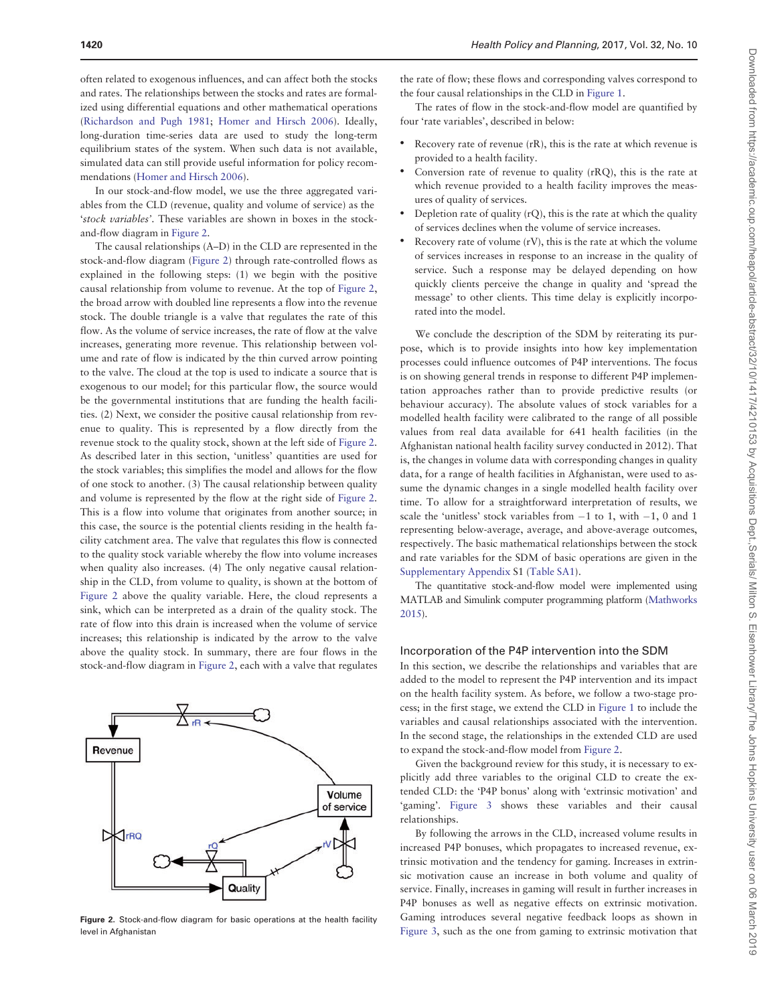<span id="page-3-0"></span>often related to exogenous influences, and can affect both the stocks and rates. The relationships between the stocks and rates are formalized using differential equations and other mathematical operations ([Richardson and Pugh 1981;](#page-9-0) [Homer and Hirsch 2006\)](#page-9-0). Ideally, long-duration time-series data are used to study the long-term equilibrium states of the system. When such data is not available, simulated data can still provide useful information for policy recommendations ([Homer and Hirsch 2006](#page-9-0)).

In our stock-and-flow model, we use the three aggregated variables from the CLD (revenue, quality and volume of service) as the 'stock variables'. These variables are shown in boxes in the stockand-flow diagram in Figure 2.

The causal relationships (A–D) in the CLD are represented in the stock-and-flow diagram (Figure 2) through rate-controlled flows as explained in the following steps: (1) we begin with the positive causal relationship from volume to revenue. At the top of Figure 2, the broad arrow with doubled line represents a flow into the revenue stock. The double triangle is a valve that regulates the rate of this flow. As the volume of service increases, the rate of flow at the valve increases, generating more revenue. This relationship between volume and rate of flow is indicated by the thin curved arrow pointing to the valve. The cloud at the top is used to indicate a source that is exogenous to our model; for this particular flow, the source would be the governmental institutions that are funding the health facilities. (2) Next, we consider the positive causal relationship from revenue to quality. This is represented by a flow directly from the revenue stock to the quality stock, shown at the left side of Figure 2. As described later in this section, 'unitless' quantities are used for the stock variables; this simplifies the model and allows for the flow of one stock to another. (3) The causal relationship between quality and volume is represented by the flow at the right side of Figure 2. This is a flow into volume that originates from another source; in this case, the source is the potential clients residing in the health facility catchment area. The valve that regulates this flow is connected to the quality stock variable whereby the flow into volume increases when quality also increases. (4) The only negative causal relationship in the CLD, from volume to quality, is shown at the bottom of Figure 2 above the quality variable. Here, the cloud represents a sink, which can be interpreted as a drain of the quality stock. The rate of flow into this drain is increased when the volume of service increases; this relationship is indicated by the arrow to the valve above the quality stock. In summary, there are four flows in the stock-and-flow diagram in Figure 2, each with a valve that regulates



Figure 2. Stock-and-flow diagram for basic operations at the health facility level in Afghanistan

the rate of flow; these flows and corresponding valves correspond to the four causal relationships in the CLD in [Figure 1](#page-2-0).

The rates of flow in the stock-and-flow model are quantified by four 'rate variables', described in below:

- Recovery rate of revenue  $(rR)$ , this is the rate at which revenue is provided to a health facility.
- Conversion rate of revenue to quality (rRQ), this is the rate at which revenue provided to a health facility improves the measures of quality of services.
- Depletion rate of quality  $(rQ)$ , this is the rate at which the quality of services declines when the volume of service increases.
- Recovery rate of volume (rV), this is the rate at which the volume of services increases in response to an increase in the quality of service. Such a response may be delayed depending on how quickly clients perceive the change in quality and 'spread the message' to other clients. This time delay is explicitly incorporated into the model.

We conclude the description of the SDM by reiterating its purpose, which is to provide insights into how key implementation processes could influence outcomes of P4P interventions. The focus is on showing general trends in response to different P4P implementation approaches rather than to provide predictive results (or behaviour accuracy). The absolute values of stock variables for a modelled health facility were calibrated to the range of all possible values from real data available for 641 health facilities (in the Afghanistan national health facility survey conducted in 2012). That is, the changes in volume data with corresponding changes in quality data, for a range of health facilities in Afghanistan, were used to assume the dynamic changes in a single modelled health facility over time. To allow for a straightforward interpretation of results, we scale the 'unitless' stock variables from  $-1$  to 1, with  $-1$ , 0 and 1 representing below-average, average, and above-average outcomes, respectively. The basic mathematical relationships between the stock and rate variables for the SDM of basic operations are given in the [Supplementary Appendix](https://academic.oup.com/heapol/article-lookup/doi/10.1093/heapol/czx122#supplementary-data) S1 [\(Table SA1\)](#page-5-0).

The quantitative stock-and-flow model were implemented using MATLAB and Simulink computer programming platform ([Mathworks](#page-9-0) [2015\)](#page-9-0).

# Incorporation of the P4P intervention into the SDM

In this section, we describe the relationships and variables that are added to the model to represent the P4P intervention and its impact on the health facility system. As before, we follow a two-stage process; in the first stage, we extend the CLD in [Figure 1](#page-2-0) to include the variables and causal relationships associated with the intervention. In the second stage, the relationships in the extended CLD are used to expand the stock-and-flow model from Figure 2.

Given the background review for this study, it is necessary to explicitly add three variables to the original CLD to create the extended CLD: the 'P4P bonus' along with 'extrinsic motivation' and 'gaming'. [Figure 3](#page-4-0) shows these variables and their causal relationships.

By following the arrows in the CLD, increased volume results in increased P4P bonuses, which propagates to increased revenue, extrinsic motivation and the tendency for gaming. Increases in extrinsic motivation cause an increase in both volume and quality of service. Finally, increases in gaming will result in further increases in P4P bonuses as well as negative effects on extrinsic motivation. Gaming introduces several negative feedback loops as shown in [Figure 3](#page-4-0), such as the one from gaming to extrinsic motivation that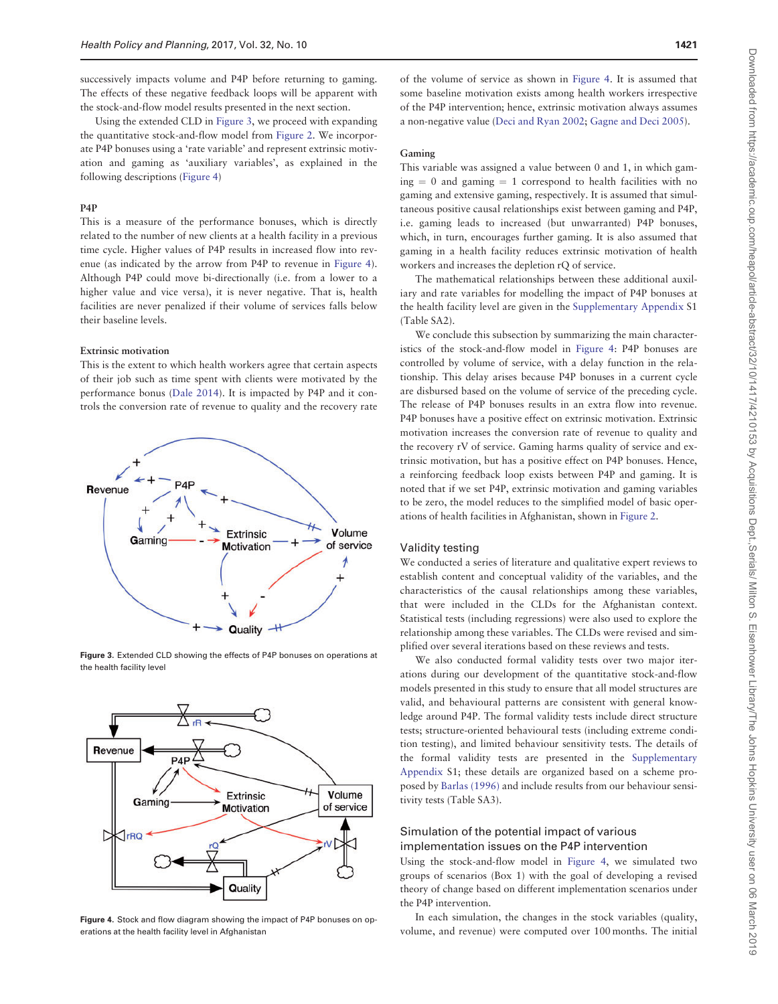<span id="page-4-0"></span>successively impacts volume and P4P before returning to gaming. The effects of these negative feedback loops will be apparent with the stock-and-flow model results presented in the next section.

Using the extended CLD in Figure 3, we proceed with expanding the quantitative stock-and-flow model from [Figure 2](#page-3-0). We incorporate P4P bonuses using a 'rate variable' and represent extrinsic motivation and gaming as 'auxiliary variables', as explained in the following descriptions (Figure 4)

# P4P

This is a measure of the performance bonuses, which is directly related to the number of new clients at a health facility in a previous time cycle. Higher values of P4P results in increased flow into revenue (as indicated by the arrow from P4P to revenue in Figure 4). Although P4P could move bi-directionally (i.e. from a lower to a higher value and vice versa), it is never negative. That is, health facilities are never penalized if their volume of services falls below their baseline levels.

#### Extrinsic motivation

This is the extent to which health workers agree that certain aspects of their job such as time spent with clients were motivated by the performance bonus ([Dale 2014](#page-8-0)). It is impacted by P4P and it controls the conversion rate of revenue to quality and the recovery rate



Figure 3. Extended CLD showing the effects of P4P bonuses on operations at the health facility level



Figure 4. Stock and flow diagram showing the impact of P4P bonuses on operations at the health facility level in Afghanistan

of the volume of service as shown in Figure 4. It is assumed that some baseline motivation exists among health workers irrespective of the P4P intervention; hence, extrinsic motivation always assumes a non-negative value [\(Deci and Ryan 2002](#page-8-0); [Gagne and Deci 2005\)](#page-9-0).

# Gaming

This variable was assigned a value between 0 and 1, in which gaming  $= 0$  and gaming  $= 1$  correspond to health facilities with no gaming and extensive gaming, respectively. It is assumed that simultaneous positive causal relationships exist between gaming and P4P, i.e. gaming leads to increased (but unwarranted) P4P bonuses, which, in turn, encourages further gaming. It is also assumed that gaming in a health facility reduces extrinsic motivation of health workers and increases the depletion rQ of service.

The mathematical relationships between these additional auxiliary and rate variables for modelling the impact of P4P bonuses at the health facility level are given in the [Supplementary Appendix](https://academic.oup.com/heapol/article-lookup/doi/10.1093/heapol/czx122#supplementary-data) S1 (Table SA2).

We conclude this subsection by summarizing the main characteristics of the stock-and-flow model in Figure 4: P4P bonuses are controlled by volume of service, with a delay function in the relationship. This delay arises because P4P bonuses in a current cycle are disbursed based on the volume of service of the preceding cycle. The release of P4P bonuses results in an extra flow into revenue. P4P bonuses have a positive effect on extrinsic motivation. Extrinsic motivation increases the conversion rate of revenue to quality and the recovery rV of service. Gaming harms quality of service and extrinsic motivation, but has a positive effect on P4P bonuses. Hence, a reinforcing feedback loop exists between P4P and gaming. It is noted that if we set P4P, extrinsic motivation and gaming variables to be zero, the model reduces to the simplified model of basic operations of health facilities in Afghanistan, shown in [Figure 2](#page-3-0).

#### Validity testing

We conducted a series of literature and qualitative expert reviews to establish content and conceptual validity of the variables, and the characteristics of the causal relationships among these variables, that were included in the CLDs for the Afghanistan context. Statistical tests (including regressions) were also used to explore the relationship among these variables. The CLDs were revised and simplified over several iterations based on these reviews and tests.

We also conducted formal validity tests over two major iterations during our development of the quantitative stock-and-flow models presented in this study to ensure that all model structures are valid, and behavioural patterns are consistent with general knowledge around P4P. The formal validity tests include direct structure tests; structure-oriented behavioural tests (including extreme condition testing), and limited behaviour sensitivity tests. The details of the formal validity tests are presented in the [Supplementary](https://academic.oup.com/heapol/article-lookup/doi/10.1093/heapol/czx122#supplementary-data) [Appendix](https://academic.oup.com/heapol/article-lookup/doi/10.1093/heapol/czx122#supplementary-data) S1; these details are organized based on a scheme proposed by [Barlas \(1996\)](#page-8-0) and include results from our behaviour sensitivity tests (Table SA3).

# Simulation of the potential impact of various implementation issues on the P4P intervention

Using the stock-and-flow model in Figure 4, we simulated two groups of scenarios (Box 1) with the goal of developing a revised theory of change based on different implementation scenarios under the P4P intervention.

In each simulation, the changes in the stock variables (quality, volume, and revenue) were computed over 100 months. The initial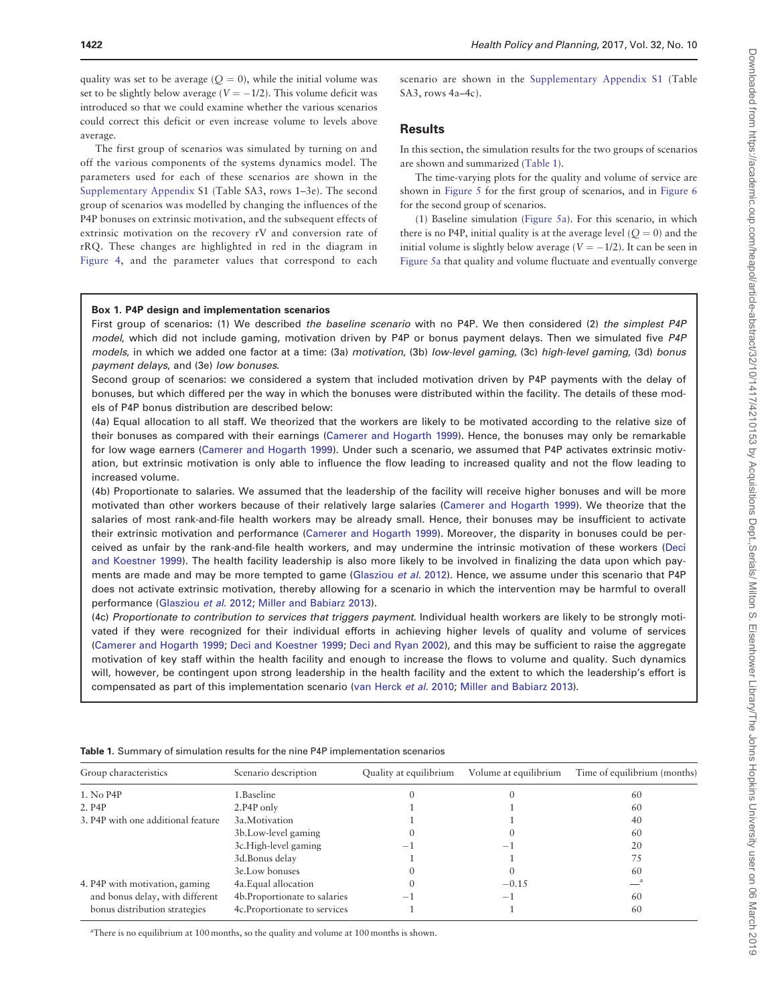Downloaded from https://academic.oup.com/heapol/article-abstract/32/10/1417/4210153 by Acquisitions Dept.,Serials/ Milton S. Eisenhower Library/The Johns Hopkins University user on 06 March 2019 Downloaded from https://academic.oup.com/heapol/article-abstract/32/10/1417/4210153 by Acquisitions Dept.,Serials/ Milton S. Eisenhower Library/The Johns Hopkins University user on 06 March 2019

<span id="page-5-0"></span>quality was set to be average  $(Q = 0)$ , while the initial volume was set to be slightly below average ( $V = -1/2$ ). This volume deficit was introduced so that we could examine whether the various scenarios could correct this deficit or even increase volume to levels above average.

The first group of scenarios was simulated by turning on and off the various components of the systems dynamics model. The parameters used for each of these scenarios are shown in the [Supplementary Appendix](https://academic.oup.com/heapol/article-lookup/doi/10.1093/heapol/czx122#supplementary-data) S1 (Table SA3, rows 1–3e). The second group of scenarios was modelled by changing the influences of the P4P bonuses on extrinsic motivation, and the subsequent effects of extrinsic motivation on the recovery rV and conversion rate of rRQ. These changes are highlighted in red in the diagram in [Figure 4](#page-4-0), and the parameter values that correspond to each scenario are shown in the [Supplementary Appendix S1](https://academic.oup.com/heapol/article-lookup/doi/10.1093/heapol/czx122#supplementary-data) (Table SA3, rows 4a–4c).

### **Results**

In this section, the simulation results for the two groups of scenarios are shown and summarized (Table 1).

The time-varying plots for the quality and volume of service are shown in [Figure 5](#page-6-0) for the first group of scenarios, and in [Figure 6](#page-7-0) for the second group of scenarios.

(1) Baseline simulation [\(Figure 5a](#page-6-0)). For this scenario, in which there is no P4P, initial quality is at the average level  $(Q = 0)$  and the initial volume is slightly below average ( $V = -1/2$ ). It can be seen in [Figure 5a](#page-6-0) that quality and volume fluctuate and eventually converge

#### Box 1. P4P design and implementation scenarios

First group of scenarios: (1) We described the baseline scenario with no P4P. We then considered (2) the simplest P4P model, which did not include gaming, motivation driven by P4P or bonus payment delays. Then we simulated five P4P models, in which we added one factor at a time: (3a) motivation, (3b) low-level gaming, (3c) high-level gaming, (3d) bonus payment delays, and (3e) low bonuses.

Second group of scenarios: we considered a system that included motivation driven by P4P payments with the delay of bonuses, but which differed per the way in which the bonuses were distributed within the facility. The details of these models of P4P bonus distribution are described below:

(4a) Equal allocation to all staff. We theorized that the workers are likely to be motivated according to the relative size of their bonuses as compared with their earnings [\(Camerer and Hogarth 1999\)](#page-8-0). Hence, the bonuses may only be remarkable for low wage earners ([Camerer and Hogarth 1999\)](#page-8-0). Under such a scenario, we assumed that P4P activates extrinsic motivation, but extrinsic motivation is only able to influence the flow leading to increased quality and not the flow leading to increased volume.

(4b) Proportionate to salaries. We assumed that the leadership of the facility will receive higher bonuses and will be more motivated than other workers because of their relatively large salaries [\(Camerer and Hogarth 1999\)](#page-8-0). We theorize that the salaries of most rank-and-file health workers may be already small. Hence, their bonuses may be insufficient to activate their extrinsic motivation and performance ([Camerer and Hogarth 1999](#page-8-0)). Moreover, the disparity in bonuses could be perceived as unfair by the rank-and-file health workers, and may undermine the intrinsic motivation of these workers ([Deci](#page-8-0) [and Koestner 1999](#page-8-0)). The health facility leadership is also more likely to be involved in finalizing the data upon which pay-ments are made and may be more tempted to game [\(Glasziou](#page-9-0) et al. 2012). Hence, we assume under this scenario that P4P does not activate extrinsic motivation, thereby allowing for a scenario in which the intervention may be harmful to overall performance [\(Glasziou](#page-9-0) et al. 2012; [Miller and Babiarz 2013](#page-9-0)).

(4c) Proportionate to contribution to services that triggers payment. Individual health workers are likely to be strongly motivated if they were recognized for their individual efforts in achieving higher levels of quality and volume of services ([Camerer and Hogarth 1999;](#page-8-0) [Deci and Koestner 1999](#page-8-0); [Deci and Ryan 2002\)](#page-8-0), and this may be sufficient to raise the aggregate motivation of key staff within the health facility and enough to increase the flows to volume and quality. Such dynamics will, however, be contingent upon strong leadership in the health facility and the extent to which the leadership's effort is compensated as part of this implementation scenario ([van Herck](#page-9-0) et al. 2010; [Miller and Babiarz 2013](#page-9-0)).

| Group characteristics              | Scenario description          | Quality at equilibrium   | Volume at equilibrium | Time of equilibrium (months) |
|------------------------------------|-------------------------------|--------------------------|-----------------------|------------------------------|
| 1. No P4P                          | 1.Baseline                    |                          |                       | 60                           |
| 2. P <sub>4</sub> P                | 2.P4P only                    |                          |                       | 60                           |
| 3. P4P with one additional feature | 3a. Motivation                |                          |                       | 40                           |
|                                    | 3b.Low-level gaming           |                          |                       | 60                           |
|                                    | 3c.High-level gaming          | $-1$                     | $-1$                  | 20                           |
|                                    | 3d.Bonus delay                |                          |                       | 75                           |
|                                    | 3e.Low bonuses                |                          |                       | 60                           |
| 4. P4P with motivation, gaming     | 4a. Equal allocation          |                          | $-0.15$               |                              |
| and bonus delay, with different    | 4b. Proportionate to salaries | $\overline{\phantom{0}}$ | $-1$                  | 60                           |
| bonus distribution strategies      | 4c.Proportionate to services  |                          |                       | 60                           |

Table 1. Summary of simulation results for the nine P4P implementation scenarios

<sup>a</sup>There is no equilibrium at 100 months, so the quality and volume at 100 months is shown.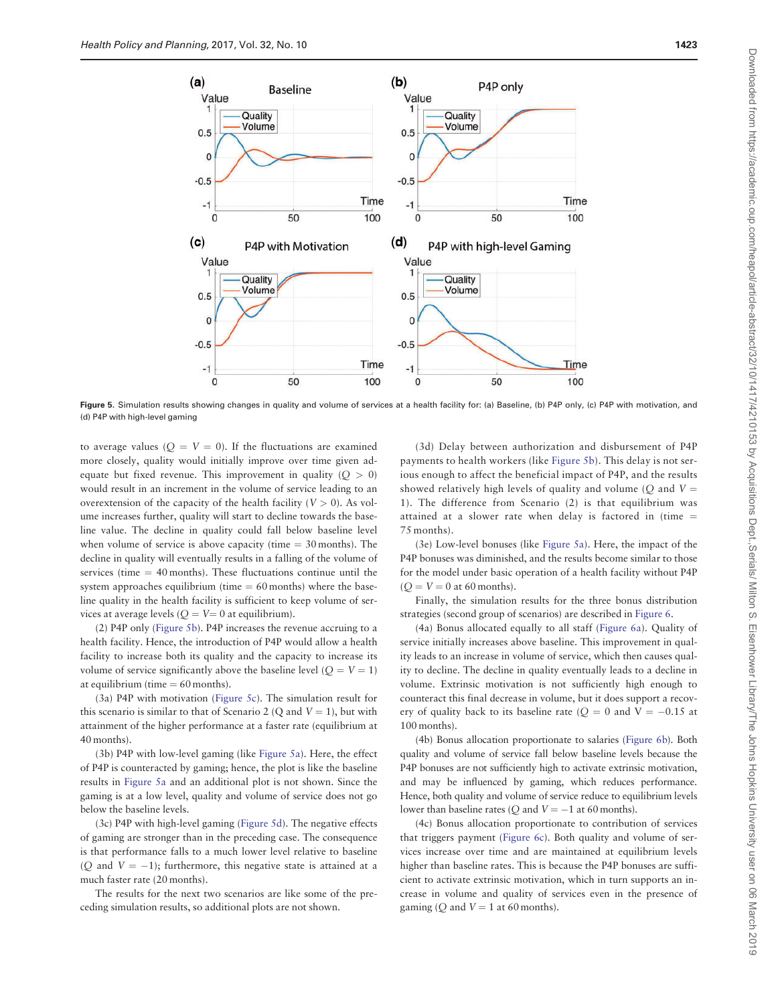<span id="page-6-0"></span>

Figure 5. Simulation results showing changes in quality and volume of services at a health facility for: (a) Baseline, (b) P4P only, (c) P4P with motivation, and (d) P4P with high-level gaming

to average values ( $Q = V = 0$ ). If the fluctuations are examined more closely, quality would initially improve over time given adequate but fixed revenue. This improvement in quality  $(Q > 0)$ would result in an increment in the volume of service leading to an overextension of the capacity of the health facility  $(V > 0)$ . As volume increases further, quality will start to decline towards the baseline value. The decline in quality could fall below baseline level when volume of service is above capacity (time  $= 30$  months). The decline in quality will eventually results in a falling of the volume of services (time  $= 40$  months). These fluctuations continue until the system approaches equilibrium (time  $= 60$  months) where the baseline quality in the health facility is sufficient to keep volume of services at average levels ( $Q = V = 0$  at equilibrium).

(2) P4P only (Figure 5b). P4P increases the revenue accruing to a health facility. Hence, the introduction of P4P would allow a health facility to increase both its quality and the capacity to increase its volume of service significantly above the baseline level  $(Q = V = 1)$ at equilibrium (time  $= 60$  months).

(3a) P4P with motivation (Figure 5c). The simulation result for this scenario is similar to that of Scenario 2 (Q and  $V = 1$ ), but with attainment of the higher performance at a faster rate (equilibrium at 40 months).

(3b) P4P with low-level gaming (like Figure 5a). Here, the effect of P4P is counteracted by gaming; hence, the plot is like the baseline results in Figure 5a and an additional plot is not shown. Since the gaming is at a low level, quality and volume of service does not go below the baseline levels.

(3c) P4P with high-level gaming (Figure 5d). The negative effects of gaming are stronger than in the preceding case. The consequence is that performance falls to a much lower level relative to baseline (Q and  $V = -1$ ); furthermore, this negative state is attained at a much faster rate (20 months).

The results for the next two scenarios are like some of the preceding simulation results, so additional plots are not shown.

(3d) Delay between authorization and disbursement of P4P payments to health workers (like Figure 5b). This delay is not serious enough to affect the beneficial impact of P4P, and the results showed relatively high levels of quality and volume (O and  $V =$ 1). The difference from Scenario (2) is that equilibrium was attained at a slower rate when delay is factored in (time  $=$ 75 months).

(3e) Low-level bonuses (like Figure 5a). Here, the impact of the P4P bonuses was diminished, and the results become similar to those for the model under basic operation of a health facility without P4P  $(Q = V = 0$  at 60 months).

Finally, the simulation results for the three bonus distribution strategies (second group of scenarios) are described in [Figure 6](#page-7-0).

(4a) Bonus allocated equally to all staff [\(Figure 6a](#page-7-0)). Quality of service initially increases above baseline. This improvement in quality leads to an increase in volume of service, which then causes quality to decline. The decline in quality eventually leads to a decline in volume. Extrinsic motivation is not sufficiently high enough to counteract this final decrease in volume, but it does support a recovery of quality back to its baseline rate ( $Q = 0$  and  $V = -0.15$  at 100 months).

(4b) Bonus allocation proportionate to salaries ([Figure 6b](#page-7-0)). Both quality and volume of service fall below baseline levels because the P4P bonuses are not sufficiently high to activate extrinsic motivation, and may be influenced by gaming, which reduces performance. Hence, both quality and volume of service reduce to equilibrium levels lower than baseline rates (Q and  $V = -1$  at 60 months).

(4c) Bonus allocation proportionate to contribution of services that triggers payment ([Figure 6c](#page-7-0)). Both quality and volume of services increase over time and are maintained at equilibrium levels higher than baseline rates. This is because the P4P bonuses are sufficient to activate extrinsic motivation, which in turn supports an increase in volume and quality of services even in the presence of gaming (Q and  $V = 1$  at 60 months).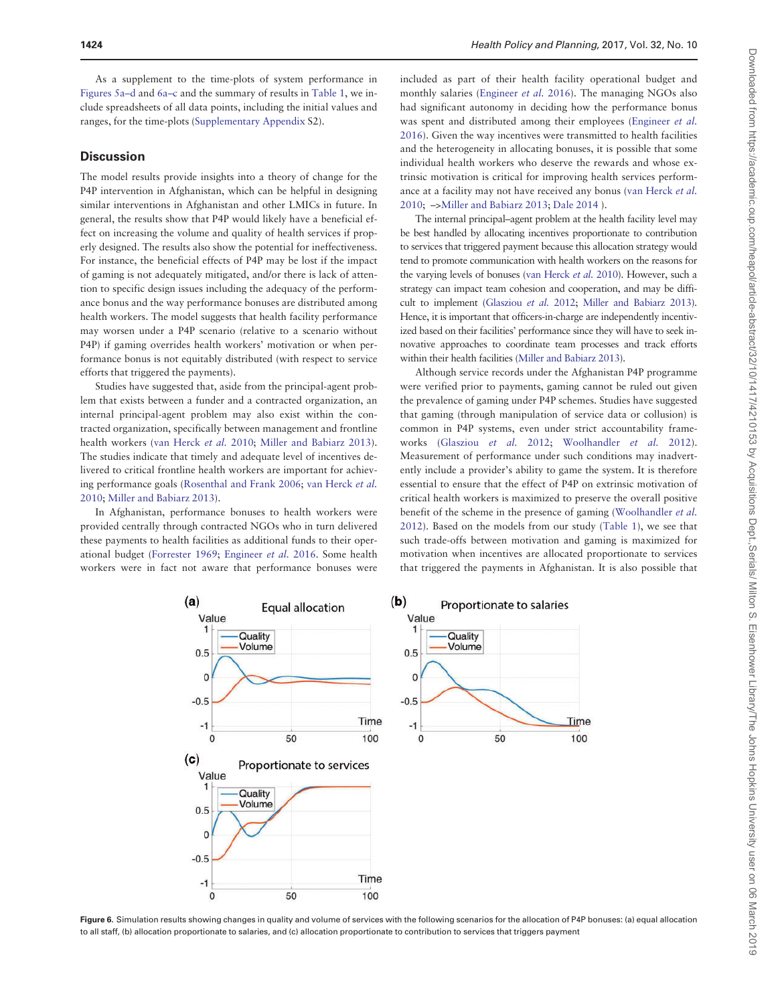<span id="page-7-0"></span>As a supplement to the time-plots of system performance in [Figures 5a–d](#page-6-0) and 6a–c and the summary of results in [Table 1,](#page-5-0) we include spreadsheets of all data points, including the initial values and ranges, for the time-plots [\(Supplementary Appendix](https://academic.oup.com/heapol/article-lookup/doi/10.1093/heapol/czx122#supplementary-data) S2).

### **Discussion**

The model results provide insights into a theory of change for the P4P intervention in Afghanistan, which can be helpful in designing similar interventions in Afghanistan and other LMICs in future. In general, the results show that P4P would likely have a beneficial effect on increasing the volume and quality of health services if properly designed. The results also show the potential for ineffectiveness. For instance, the beneficial effects of P4P may be lost if the impact of gaming is not adequately mitigated, and/or there is lack of attention to specific design issues including the adequacy of the performance bonus and the way performance bonuses are distributed among health workers. The model suggests that health facility performance may worsen under a P4P scenario (relative to a scenario without P4P) if gaming overrides health workers' motivation or when performance bonus is not equitably distributed (with respect to service efforts that triggered the payments).

Studies have suggested that, aside from the principal-agent problem that exists between a funder and a contracted organization, an internal principal-agent problem may also exist within the contracted organization, specifically between management and frontline health workers [\(van Herck](#page-9-0) et al. 2010; [Miller and Babiarz 2013](#page-9-0)). The studies indicate that timely and adequate level of incentives delivered to critical frontline health workers are important for achieving performance goals ([Rosenthal and Frank 2006;](#page-9-0) [van Herck](#page-9-0) et al. [2010;](#page-9-0) [Miller and Babiarz 2013\)](#page-9-0).

In Afghanistan, performance bonuses to health workers were provided centrally through contracted NGOs who in turn delivered these payments to health facilities as additional funds to their operational budget ([Forrester 1969](#page-9-0); [Engineer](#page-9-0) et al. 2016. Some health workers were in fact not aware that performance bonuses were included as part of their health facility operational budget and monthly salaries ([Engineer](#page-9-0) et al. 2016). The managing NGOs also had significant autonomy in deciding how the performance bonus was spent and distributed among their employees ([Engineer](#page-9-0) et al. [2016\)](#page-9-0). Given the way incentives were transmitted to health facilities and the heterogeneity in allocating bonuses, it is possible that some individual health workers who deserve the rewards and whose extrinsic motivation is critical for improving health services performance at a facility may not have received any bonus ([van Herck](#page-9-0) et al. [2010;](#page-9-0) –[>Miller and Babiarz 2013](#page-9-0); [Dale 2014](#page-8-0) ).

The internal principal–agent problem at the health facility level may be best handled by allocating incentives proportionate to contribution to services that triggered payment because this allocation strategy would tend to promote communication with health workers on the reasons for the varying levels of bonuses [\(van Herck](#page-9-0) et al. 2010). However, such a strategy can impact team cohesion and cooperation, and may be difficult to implement [\(Glasziou](#page-9-0) et al. 2012; [Miller and Babiarz 2013](#page-9-0)). Hence, it is important that officers-in-charge are independently incentivized based on their facilities' performance since they will have to seek innovative approaches to coordinate team processes and track efforts within their health facilities [\(Miller and Babiarz 2013](#page-9-0)).

Although service records under the Afghanistan P4P programme were verified prior to payments, gaming cannot be ruled out given the prevalence of gaming under P4P schemes. Studies have suggested that gaming (through manipulation of service data or collusion) is common in P4P systems, even under strict accountability frameworks ([Glasziou](#page-9-0) et al. 2012; [Woolhandler](#page-9-0) et al. 2012). Measurement of performance under such conditions may inadvertently include a provider's ability to game the system. It is therefore essential to ensure that the effect of P4P on extrinsic motivation of critical health workers is maximized to preserve the overall positive benefit of the scheme in the presence of gaming [\(Woolhandler](#page-9-0) et al. [2012\)](#page-9-0). Based on the models from our study ([Table 1\)](#page-5-0), we see that such trade-offs between motivation and gaming is maximized for motivation when incentives are allocated proportionate to services that triggered the payments in Afghanistan. It is also possible that



Figure 6. Simulation results showing changes in quality and volume of services with the following scenarios for the allocation of P4P bonuses: (a) equal allocation to all staff, (b) allocation proportionate to salaries, and (c) allocation proportionate to contribution to services that triggers payment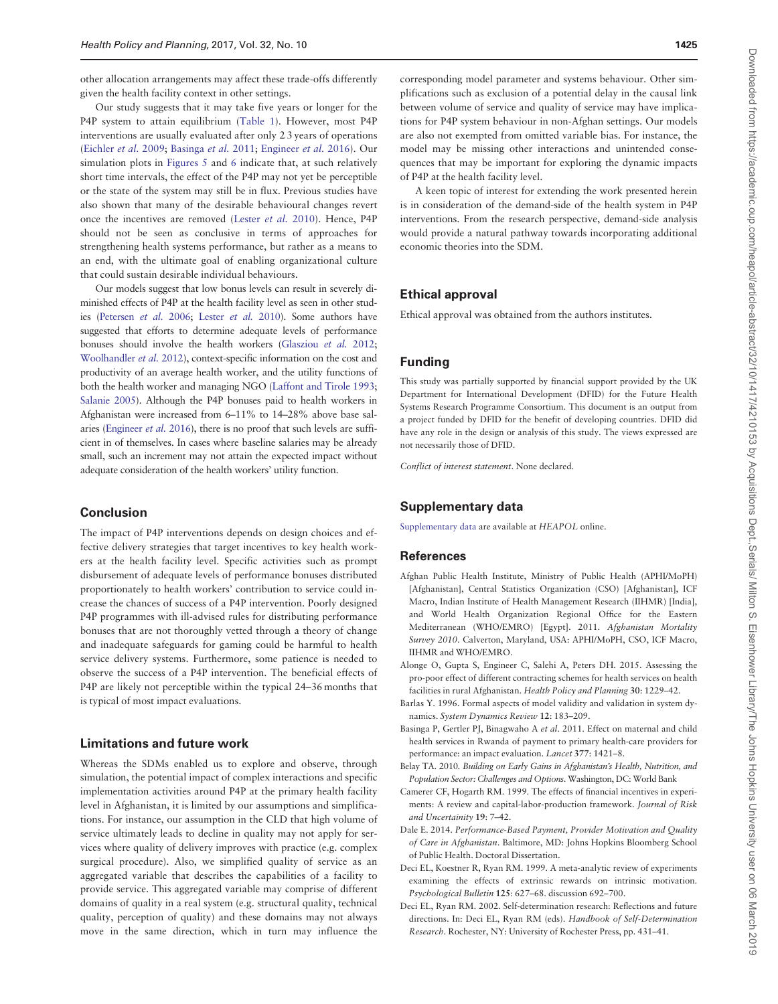<span id="page-8-0"></span>other allocation arrangements may affect these trade-offs differently given the health facility context in other settings.

Our study suggests that it may take five years or longer for the P4P system to attain equilibrium ([Table 1\)](#page-5-0). However, most P4P interventions are usually evaluated after only 2 3 years of operations ([Eichler](#page-9-0) et al. 2009; Basinga et al. 2011; [Engineer](#page-9-0) et al. 2016). Our simulation plots in [Figures 5](#page-6-0) and [6](#page-7-0) indicate that, at such relatively short time intervals, the effect of the P4P may not yet be perceptible or the state of the system may still be in flux. Previous studies have also shown that many of the desirable behavioural changes revert once the incentives are removed [\(Lester](#page-9-0) et al. 2010). Hence, P4P should not be seen as conclusive in terms of approaches for strengthening health systems performance, but rather as a means to an end, with the ultimate goal of enabling organizational culture that could sustain desirable individual behaviours.

Our models suggest that low bonus levels can result in severely diminished effects of P4P at the health facility level as seen in other studies ([Petersen](#page-9-0) et al. 2006; [Lester](#page-9-0) et al. 2010). Some authors have suggested that efforts to determine adequate levels of performance bonuses should involve the health workers ([Glasziou](#page-9-0) et al. 2012; [Woolhandler](#page-9-0) et al. 2012), context-specific information on the cost and productivity of an average health worker, and the utility functions of both the health worker and managing NGO [\(Laffont and Tirole 1993;](#page-9-0) [Salanie 2005\)](#page-9-0). Although the P4P bonuses paid to health workers in Afghanistan were increased from 6–11% to 14–28% above base salaries [\(Engineer](#page-9-0) et al. 2016), there is no proof that such levels are sufficient in of themselves. In cases where baseline salaries may be already small, such an increment may not attain the expected impact without adequate consideration of the health workers' utility function.

# Conclusion

The impact of P4P interventions depends on design choices and effective delivery strategies that target incentives to key health workers at the health facility level. Specific activities such as prompt disbursement of adequate levels of performance bonuses distributed proportionately to health workers' contribution to service could increase the chances of success of a P4P intervention. Poorly designed P4P programmes with ill-advised rules for distributing performance bonuses that are not thoroughly vetted through a theory of change and inadequate safeguards for gaming could be harmful to health service delivery systems. Furthermore, some patience is needed to observe the success of a P4P intervention. The beneficial effects of P4P are likely not perceptible within the typical 24–36 months that is typical of most impact evaluations.

# Limitations and future work

Whereas the SDMs enabled us to explore and observe, through simulation, the potential impact of complex interactions and specific implementation activities around P4P at the primary health facility level in Afghanistan, it is limited by our assumptions and simplifications. For instance, our assumption in the CLD that high volume of service ultimately leads to decline in quality may not apply for services where quality of delivery improves with practice (e.g. complex surgical procedure). Also, we simplified quality of service as an aggregated variable that describes the capabilities of a facility to provide service. This aggregated variable may comprise of different domains of quality in a real system (e.g. structural quality, technical quality, perception of quality) and these domains may not always move in the same direction, which in turn may influence the

corresponding model parameter and systems behaviour. Other simplifications such as exclusion of a potential delay in the causal link between volume of service and quality of service may have implications for P4P system behaviour in non-Afghan settings. Our models are also not exempted from omitted variable bias. For instance, the model may be missing other interactions and unintended consequences that may be important for exploring the dynamic impacts of P4P at the health facility level.

A keen topic of interest for extending the work presented herein is in consideration of the demand-side of the health system in P4P interventions. From the research perspective, demand-side analysis would provide a natural pathway towards incorporating additional economic theories into the SDM.

# Ethical approval

Ethical approval was obtained from the authors institutes.

# Funding

This study was partially supported by financial support provided by the UK Department for International Development (DFID) for the Future Health Systems Research Programme Consortium. This document is an output from a project funded by DFID for the benefit of developing countries. DFID did have any role in the design or analysis of this study. The views expressed are not necessarily those of DFID.

Conflict of interest statement. None declared.

# Supplementary data

[Supplementary data](https://academic.oup.com/heapol/article-lookup/doi/10.1093/heapol/czx122#supplementary-data) are available at HEAPOL online.

#### **References**

- Afghan Public Health Institute, Ministry of Public Health (APHI/MoPH) [Afghanistan], Central Statistics Organization (CSO) [Afghanistan], ICF Macro, Indian Institute of Health Management Research (IIHMR) [India], and World Health Organization Regional Office for the Eastern Mediterranean (WHO/EMRO) [Egypt]. 2011. Afghanistan Mortality Survey 2010. Calverton, Maryland, USA: APHI/MoPH, CSO, ICF Macro, IIHMR and WHO/EMRO.
- Alonge O, Gupta S, Engineer C, Salehi A, Peters DH. 2015. Assessing the pro-poor effect of different contracting schemes for health services on health facilities in rural Afghanistan. Health Policy and Planning 30: 1229–42.
- Barlas Y. 1996. Formal aspects of model validity and validation in system dynamics. System Dynamics Review 12: 183–209.
- Basinga P, Gertler PJ, Binagwaho A et al. 2011. Effect on maternal and child health services in Rwanda of payment to primary health-care providers for performance: an impact evaluation. Lancet 377: 1421–8.
- Belay TA. 2010. Building on Early Gains in Afghanistan's Health, Nutrition, and Population Sector: Challenges and Options. Washington, DC: World Bank
- Camerer CF, Hogarth RM. 1999. The effects of financial incentives in experiments: A review and capital-labor-production framework. Journal of Risk and Uncertainity 19: 7–42.
- Dale E. 2014. Performance-Based Payment, Provider Motivation and Quality of Care in Afghanistan. Baltimore, MD: Johns Hopkins Bloomberg School of Public Health. Doctoral Dissertation.
- Deci EL, Koestner R, Ryan RM. 1999. A meta-analytic review of experiments examining the effects of extrinsic rewards on intrinsic motivation. Psychological Bulletin 125: 627–68. discussion 692–700.
- Deci EL, Ryan RM. 2002. Self-determination research: Reflections and future directions. In: Deci EL, Ryan RM (eds). Handbook of Self-Determination Research. Rochester, NY: University of Rochester Press, pp. 431–41.